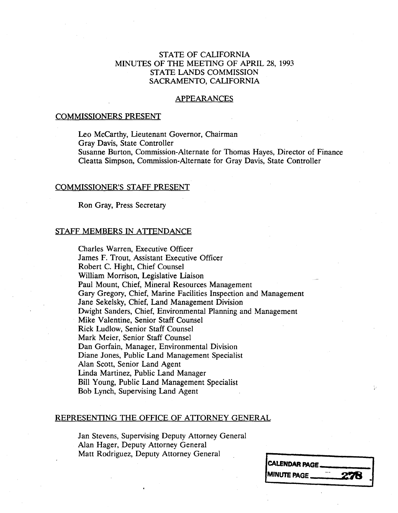# STATE OF CALIFORNIA MINUTES OF THE MEETING OF APRIL 28, 1993 STATE LANDS COMMISSION SACRAMENTO, CALIFORNIA

#### APPEARANCES

#### COMMISSIONERS PRESENT

Leo McCarthy, Lieutenant Governor, Chairman<br>Gray Davis, State Controller Susanne Burton, Commission-Alternate for Thomas Haves, Director of Finance Susanne Burton, Commission-Alternate for Thomas Hayes, Director of Finance Cleatta Simpson, Commission-Alternate for Gray Davis, State Controller

#### COMMISSIONER'S STAFF PRESENT

Ron Gray, Press Secretary

#### STAFF MEMBERS IN ATTENDANCE

Charles Warren, Executive Officer James F. Trout, Assistant Executive Officer Robert C. Hight, Chief Counsel William Morrison, Legislative Liaison Paul Mount, Chief, Mineral Resources Management Gary Gregory, Chief, Marine Facilities Inspection and Management Jane Sekelsky, Chief, Land Management Division Dwight Sanders, Chief, Environmental Planning and Management Mike Valentine, Senior Staff Counsel Rick Ludlow, Senior Staff Counsel Mark Meier, Senior Staff Counsel Dan Gorfain, Manager, Environmental Division Diane Jones, Public Land Management Specialist Alan Scott, Senior Land Agent Linda Martinez, Public Land Manager Bill Young, Public Land Management Specialist Bob Lynch, Supervising Land Agent

### REPRESENTING THE OFFICE OF ATTORNEY GENERAL

Jan Stevens, Supervising Deputy Attorney General Alan Hager, Deputy Attorney General Matt Rodriguez, Deputy Attorney General

| <b>CALENDAR PAGE.</b> |     |  |
|-----------------------|-----|--|
| <b>MINUTE PAGE _</b>  | 278 |  |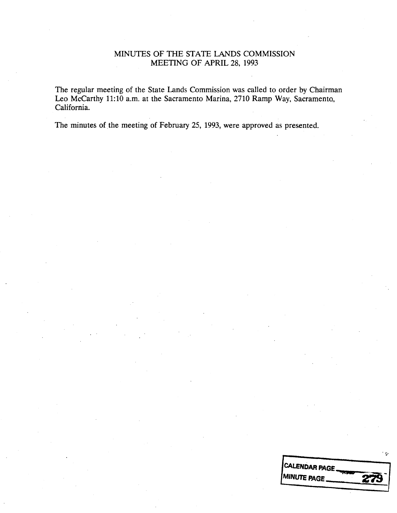## MINUTES OF THE STATE LANDS COMMISSION MEETING OF APRIL 28, 1993

The regular meeting of the State Lands Commission was called to order by Chairman Leo Mccarthy 11:10 a.m. at the Sacramento Marina, 2710 Ramp Way, Sacramento, California.

The minutes of the meeting of February 25, 1993, were approved as presented.

| <b>CALENDAR PAGE</b>        |  |
|-----------------------------|--|
| <b>IMINUTE PAGE.</b><br>279 |  |
|                             |  |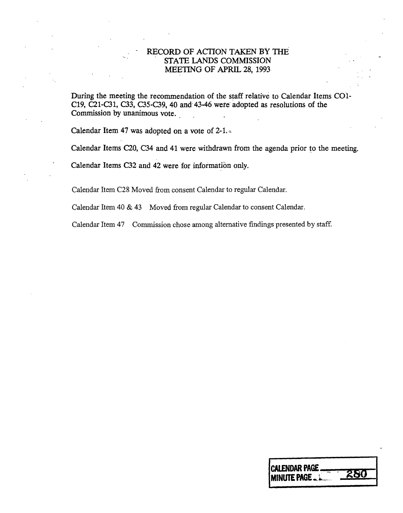# RECORD OF ACTION TAKEN BY THE STATE LANDS COMMISSION MEETING OF APRIL 28, 1993

During the meeting the recommendation of the staff relative to Calendar Items CO1-C19, C21-C31, C33, C35-C39, 40 and  $43-46$  were adopted as resolutions of the Commission by unanimous vote.

MEETING OF APRIL 28, 1993

Calendar Item 47 was adopted on a vote of 2-1.

Calendar Item 47 was adopted on a vote of 2-1. .

Calendar Items C20, C34 and 41 were withdrawn from the agenda prior to the meeting.

Calendar Items C32 and 42 were for information only.

Calendar Item C28 Moved from consent Calendar to regular Calendar.

Calendar Item 40 & 43 Moved from regular Calendar to consent Calendar.

Calendar Item 47 Commission chose among alternative findings presented by staff.

| <b>ICALENDAR PAGE</b><br>2 R.C<br><b>IMINUTE PAGE </b> |
|--------------------------------------------------------|
|--------------------------------------------------------|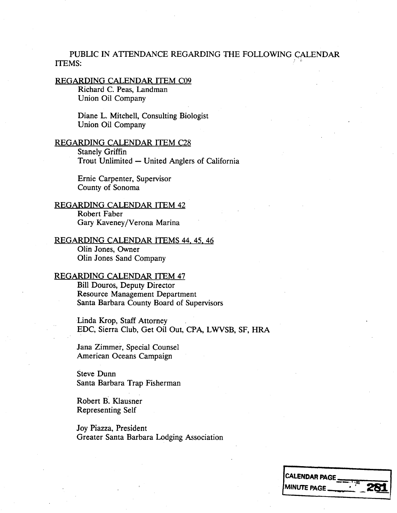# PUBLIC IN ATTENDANCE REGARDING THE FOLLOWING CALENDAR ITEMS:

#### REGARDING CALENDAR ITEM C09

Richard C. Peas, Landman Union Oil Company

Diane L. Mitchell, Consulting Biologist Union Oil Company

### REGARDING CALENDAR ITEM C28

Stanely Griffin Trout Unlimited - United Anglers of California

Ernie Carpenter, Supervisor County of Sonoma

REGARDING CALENDAR ITEM 42 Robert Faber Gary Kaveney/Verona Marina

REGARDING CALENDAR ITEMS 44, 45, 46 Olin Jones, Owner Olin Jones Sand Company

# REGARDING CALENDAR ITEM 47

Bill Douros, Deputy Director Resource Management Department Santa Barbara County Board of Supervisors

Linda Krop, Staff Attorney EDC, Sierra Club, Get Oil Out, CPA, LWVSB, SF, HRA

Jana Zimmer, Special Counsel American Oceans Campaign

Steve Dunn Santa Barbara Trap Fisherman

Robert B. Klausner Representing Self

Joy Piazza, President Greater Santa Barbara Lodging Association

| <b>CALENDAR PAGE.</b> |     |
|-----------------------|-----|
| <b>MINUTE PAGE</b>    | 281 |